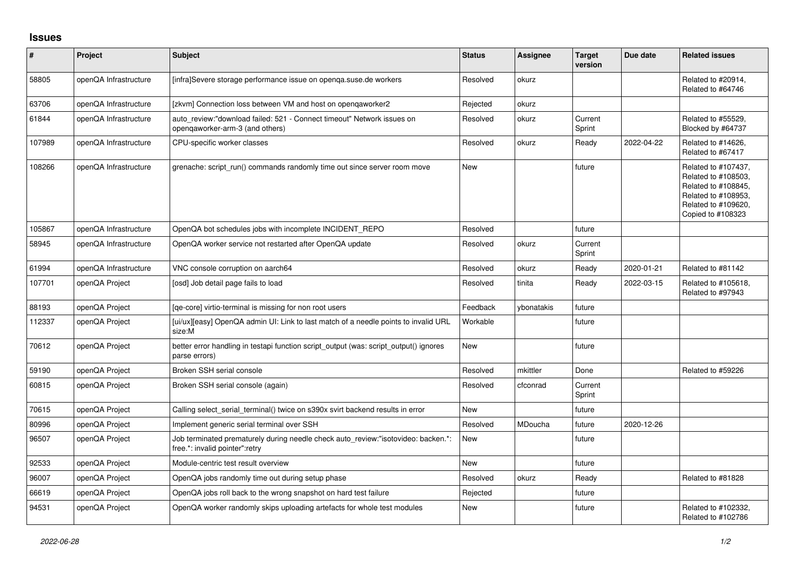## **Issues**

| #      | Project               | <b>Subject</b>                                                                                                      | <b>Status</b> | Assignee   | <b>Target</b><br>version | Due date   | <b>Related issues</b>                                                                                                                |
|--------|-----------------------|---------------------------------------------------------------------------------------------------------------------|---------------|------------|--------------------------|------------|--------------------------------------------------------------------------------------------------------------------------------------|
| 58805  | openQA Infrastructure | [infra]Severe storage performance issue on openga.suse.de workers                                                   | Resolved      | okurz      |                          |            | Related to #20914,<br>Related to #64746                                                                                              |
| 63706  | openQA Infrastructure | [zkvm] Connection loss between VM and host on opengaworker2                                                         | Rejected      | okurz      |                          |            |                                                                                                                                      |
| 61844  | openQA Infrastructure | auto review:"download failed: 521 - Connect timeout" Network issues on<br>opengaworker-arm-3 (and others)           | Resolved      | okurz      | Current<br>Sprint        |            | Related to #55529.<br>Blocked by #64737                                                                                              |
| 107989 | openQA Infrastructure | CPU-specific worker classes                                                                                         | Resolved      | okurz      | Ready                    | 2022-04-22 | Related to #14626,<br>Related to #67417                                                                                              |
| 108266 | openQA Infrastructure | grenache: script run() commands randomly time out since server room move                                            | <b>New</b>    |            | future                   |            | Related to #107437,<br>Related to #108503,<br>Related to #108845,<br>Related to #108953,<br>Related to #109620,<br>Copied to #108323 |
| 105867 | openQA Infrastructure | OpenQA bot schedules jobs with incomplete INCIDENT_REPO                                                             | Resolved      |            | future                   |            |                                                                                                                                      |
| 58945  | openQA Infrastructure | OpenQA worker service not restarted after OpenQA update                                                             | Resolved      | okurz      | Current<br>Sprint        |            |                                                                                                                                      |
| 61994  | openQA Infrastructure | VNC console corruption on aarch64                                                                                   | Resolved      | okurz      | Ready                    | 2020-01-21 | Related to #81142                                                                                                                    |
| 107701 | openQA Project        | [osd] Job detail page fails to load                                                                                 | Resolved      | tinita     | Ready                    | 2022-03-15 | Related to #105618,<br>Related to #97943                                                                                             |
| 88193  | openQA Project        | [ge-core] virtio-terminal is missing for non root users                                                             | Feedback      | vbonatakis | future                   |            |                                                                                                                                      |
| 112337 | openQA Project        | [ui/ux][easy] OpenQA admin UI: Link to last match of a needle points to invalid URL<br>size:M                       | Workable      |            | future                   |            |                                                                                                                                      |
| 70612  | openQA Project        | better error handling in testapi function script_output (was: script_output() ignores<br>parse errors)              | <b>New</b>    |            | future                   |            |                                                                                                                                      |
| 59190  | openQA Project        | Broken SSH serial console                                                                                           | Resolved      | mkittler   | Done                     |            | Related to #59226                                                                                                                    |
| 60815  | openQA Project        | Broken SSH serial console (again)                                                                                   | Resolved      | cfconrad   | Current<br>Sprint        |            |                                                                                                                                      |
| 70615  | openQA Project        | Calling select serial terminal() twice on s390x svirt backend results in error                                      | <b>New</b>    |            | future                   |            |                                                                                                                                      |
| 80996  | openQA Project        | Implement generic serial terminal over SSH                                                                          | Resolved      | MDoucha    | future                   | 2020-12-26 |                                                                                                                                      |
| 96507  | openQA Project        | Job terminated prematurely during needle check auto review:"isotovideo: backen.*:<br>free.*: invalid pointer":retry | <b>New</b>    |            | future                   |            |                                                                                                                                      |
| 92533  | openQA Project        | Module-centric test result overview                                                                                 | <b>New</b>    |            | future                   |            |                                                                                                                                      |
| 96007  | openQA Project        | OpenQA jobs randomly time out during setup phase                                                                    | Resolved      | okurz      | Ready                    |            | Related to #81828                                                                                                                    |
| 66619  | openQA Project        | OpenQA jobs roll back to the wrong snapshot on hard test failure                                                    | Rejected      |            | future                   |            |                                                                                                                                      |
| 94531  | openQA Project        | OpenQA worker randomly skips uploading artefacts for whole test modules                                             | <b>New</b>    |            | future                   |            | Related to #102332,<br>Related to #102786                                                                                            |